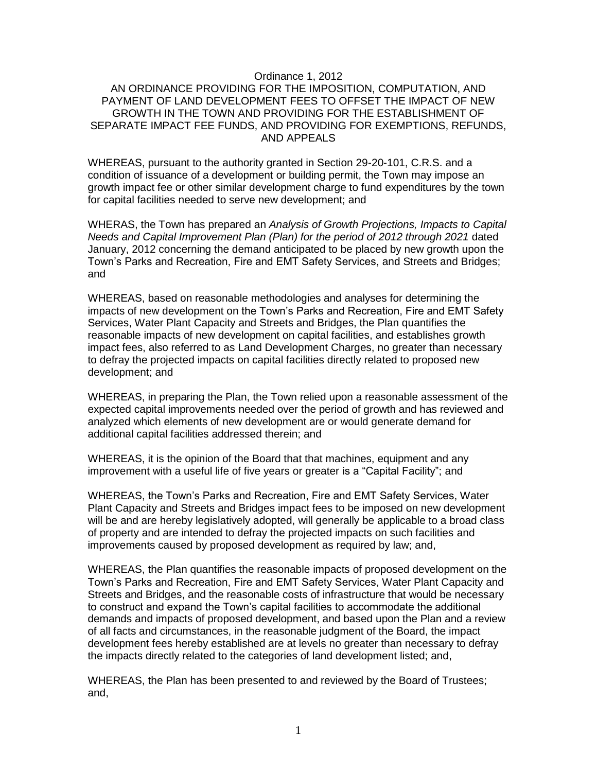#### Ordinance 1, 2012

### AN ORDINANCE PROVIDING FOR THE IMPOSITION, COMPUTATION, AND PAYMENT OF LAND DEVELOPMENT FEES TO OFFSET THE IMPACT OF NEW GROWTH IN THE TOWN AND PROVIDING FOR THE ESTABLISHMENT OF SEPARATE IMPACT FEE FUNDS, AND PROVIDING FOR EXEMPTIONS, REFUNDS, AND APPEALS

WHEREAS, pursuant to the authority granted in Section 29-20-101, C.R.S. and a condition of issuance of a development or building permit, the Town may impose an growth impact fee or other similar development charge to fund expenditures by the town for capital facilities needed to serve new development; and

WHERAS, the Town has prepared an *Analysis of Growth Projections, Impacts to Capital Needs and Capital Improvement Plan (Plan) for the period of 2012 through 2021* dated January, 2012 concerning the demand anticipated to be placed by new growth upon the Town's Parks and Recreation, Fire and EMT Safety Services, and Streets and Bridges; and

WHEREAS, based on reasonable methodologies and analyses for determining the impacts of new development on the Town's Parks and Recreation, Fire and EMT Safety Services, Water Plant Capacity and Streets and Bridges, the Plan quantifies the reasonable impacts of new development on capital facilities, and establishes growth impact fees, also referred to as Land Development Charges, no greater than necessary to defray the projected impacts on capital facilities directly related to proposed new development; and

WHEREAS, in preparing the Plan, the Town relied upon a reasonable assessment of the expected capital improvements needed over the period of growth and has reviewed and analyzed which elements of new development are or would generate demand for additional capital facilities addressed therein; and

WHEREAS, it is the opinion of the Board that that machines, equipment and any improvement with a useful life of five years or greater is a "Capital Facility"; and

WHEREAS, the Town's Parks and Recreation, Fire and EMT Safety Services, Water Plant Capacity and Streets and Bridges impact fees to be imposed on new development will be and are hereby legislatively adopted, will generally be applicable to a broad class of property and are intended to defray the projected impacts on such facilities and improvements caused by proposed development as required by law; and,

WHEREAS, the Plan quantifies the reasonable impacts of proposed development on the Town's Parks and Recreation, Fire and EMT Safety Services, Water Plant Capacity and Streets and Bridges, and the reasonable costs of infrastructure that would be necessary to construct and expand the Town's capital facilities to accommodate the additional demands and impacts of proposed development, and based upon the Plan and a review of all facts and circumstances, in the reasonable judgment of the Board, the impact development fees hereby established are at levels no greater than necessary to defray the impacts directly related to the categories of land development listed; and,

WHEREAS, the Plan has been presented to and reviewed by the Board of Trustees; and,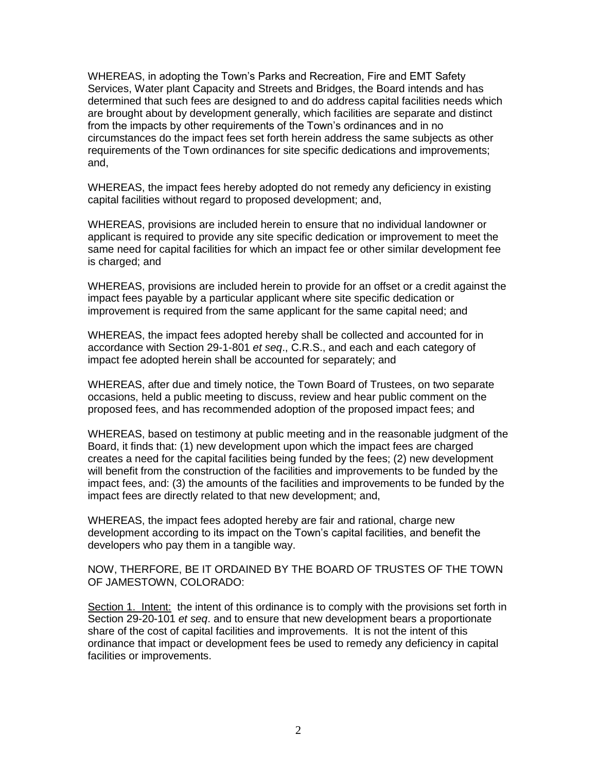WHEREAS, in adopting the Town's Parks and Recreation, Fire and EMT Safety Services, Water plant Capacity and Streets and Bridges, the Board intends and has determined that such fees are designed to and do address capital facilities needs which are brought about by development generally, which facilities are separate and distinct from the impacts by other requirements of the Town's ordinances and in no circumstances do the impact fees set forth herein address the same subjects as other requirements of the Town ordinances for site specific dedications and improvements; and,

WHEREAS, the impact fees hereby adopted do not remedy any deficiency in existing capital facilities without regard to proposed development; and,

WHEREAS, provisions are included herein to ensure that no individual landowner or applicant is required to provide any site specific dedication or improvement to meet the same need for capital facilities for which an impact fee or other similar development fee is charged; and

WHEREAS, provisions are included herein to provide for an offset or a credit against the impact fees payable by a particular applicant where site specific dedication or improvement is required from the same applicant for the same capital need; and

WHEREAS, the impact fees adopted hereby shall be collected and accounted for in accordance with Section 29-1-801 *et seq*., C.R.S., and each and each category of impact fee adopted herein shall be accounted for separately; and

WHEREAS, after due and timely notice, the Town Board of Trustees, on two separate occasions, held a public meeting to discuss, review and hear public comment on the proposed fees, and has recommended adoption of the proposed impact fees; and

WHEREAS, based on testimony at public meeting and in the reasonable judgment of the Board, it finds that: (1) new development upon which the impact fees are charged creates a need for the capital facilities being funded by the fees; (2) new development will benefit from the construction of the facilities and improvements to be funded by the impact fees, and: (3) the amounts of the facilities and improvements to be funded by the impact fees are directly related to that new development; and,

WHEREAS, the impact fees adopted hereby are fair and rational, charge new development according to its impact on the Town's capital facilities, and benefit the developers who pay them in a tangible way.

NOW, THERFORE, BE IT ORDAINED BY THE BOARD OF TRUSTES OF THE TOWN OF JAMESTOWN, COLORADO:

Section 1. Intent: the intent of this ordinance is to comply with the provisions set forth in Section 29-20-101 *et seq*. and to ensure that new development bears a proportionate share of the cost of capital facilities and improvements. It is not the intent of this ordinance that impact or development fees be used to remedy any deficiency in capital facilities or improvements.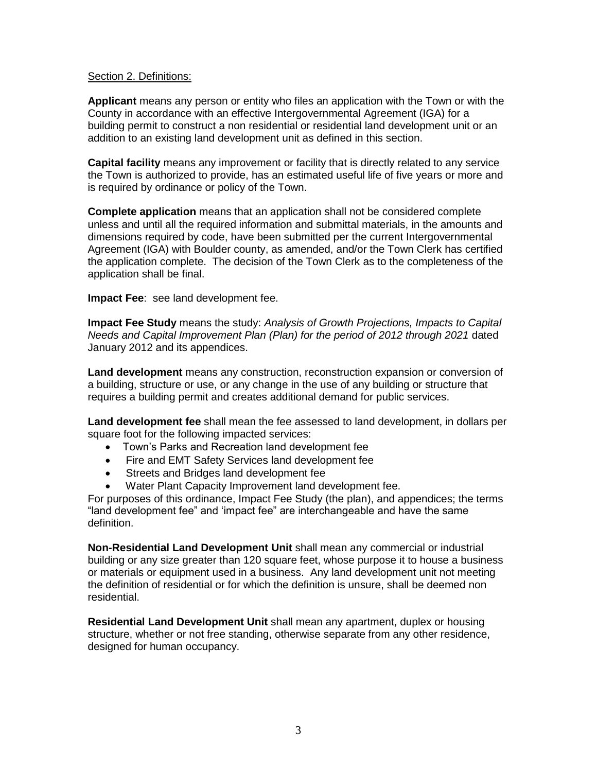### Section 2. Definitions:

**Applicant** means any person or entity who files an application with the Town or with the County in accordance with an effective Intergovernmental Agreement (IGA) for a building permit to construct a non residential or residential land development unit or an addition to an existing land development unit as defined in this section.

**Capital facility** means any improvement or facility that is directly related to any service the Town is authorized to provide, has an estimated useful life of five years or more and is required by ordinance or policy of the Town.

**Complete application** means that an application shall not be considered complete unless and until all the required information and submittal materials, in the amounts and dimensions required by code, have been submitted per the current Intergovernmental Agreement (IGA) with Boulder county, as amended, and/or the Town Clerk has certified the application complete. The decision of the Town Clerk as to the completeness of the application shall be final.

**Impact Fee**: see land development fee.

**Impact Fee Study** means the study: *Analysis of Growth Projections, Impacts to Capital Needs and Capital Improvement Plan (Plan) for the period of 2012 through 2021* dated January 2012 and its appendices.

**Land development** means any construction, reconstruction expansion or conversion of a building, structure or use, or any change in the use of any building or structure that requires a building permit and creates additional demand for public services.

**Land development fee** shall mean the fee assessed to land development, in dollars per square foot for the following impacted services:

- Town's Parks and Recreation land development fee
- Fire and EMT Safety Services land development fee
- Streets and Bridges land development fee
- Water Plant Capacity Improvement land development fee.

For purposes of this ordinance, Impact Fee Study (the plan), and appendices; the terms "land development fee" and 'impact fee" are interchangeable and have the same definition.

**Non-Residential Land Development Unit** shall mean any commercial or industrial building or any size greater than 120 square feet, whose purpose it to house a business or materials or equipment used in a business. Any land development unit not meeting the definition of residential or for which the definition is unsure, shall be deemed non residential.

**Residential Land Development Unit** shall mean any apartment, duplex or housing structure, whether or not free standing, otherwise separate from any other residence, designed for human occupancy.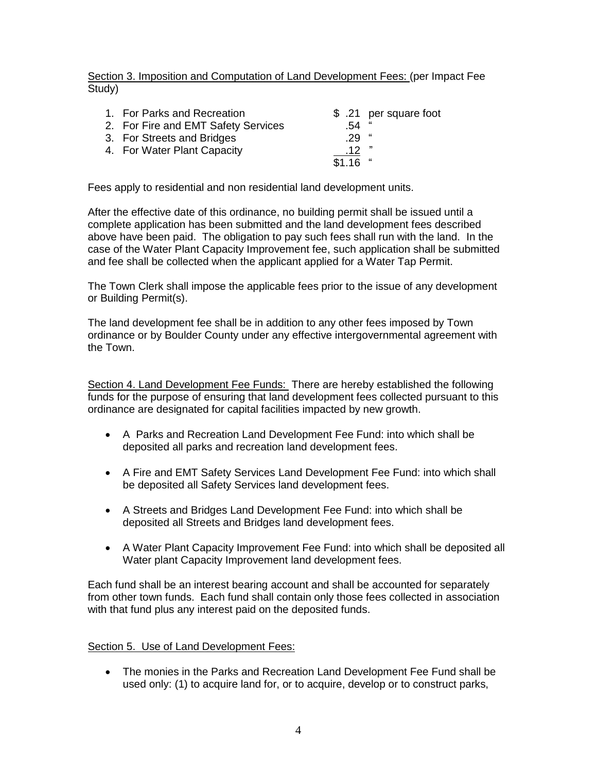Section 3. Imposition and Computation of Land Development Fees: (per Impact Fee Study)

| 1. For Parks and Recreation         |                  | \$ .21 per square foot |
|-------------------------------------|------------------|------------------------|
| 2. For Fire and EMT Safety Services | .54              | "                      |
| 3. For Streets and Bridges          | .29              |                        |
| 4. For Water Plant Capacity         | .12 <sub>1</sub> |                        |
|                                     | \$1.16           |                        |
|                                     |                  |                        |

Fees apply to residential and non residential land development units.

After the effective date of this ordinance, no building permit shall be issued until a complete application has been submitted and the land development fees described above have been paid. The obligation to pay such fees shall run with the land. In the case of the Water Plant Capacity Improvement fee, such application shall be submitted and fee shall be collected when the applicant applied for a Water Tap Permit.

The Town Clerk shall impose the applicable fees prior to the issue of any development or Building Permit(s).

The land development fee shall be in addition to any other fees imposed by Town ordinance or by Boulder County under any effective intergovernmental agreement with the Town.

Section 4. Land Development Fee Funds: There are hereby established the following funds for the purpose of ensuring that land development fees collected pursuant to this ordinance are designated for capital facilities impacted by new growth.

- A Parks and Recreation Land Development Fee Fund: into which shall be deposited all parks and recreation land development fees.
- A Fire and EMT Safety Services Land Development Fee Fund: into which shall be deposited all Safety Services land development fees.
- A Streets and Bridges Land Development Fee Fund: into which shall be deposited all Streets and Bridges land development fees.
- A Water Plant Capacity Improvement Fee Fund: into which shall be deposited all Water plant Capacity Improvement land development fees.

Each fund shall be an interest bearing account and shall be accounted for separately from other town funds. Each fund shall contain only those fees collected in association with that fund plus any interest paid on the deposited funds.

# Section 5. Use of Land Development Fees:

 The monies in the Parks and Recreation Land Development Fee Fund shall be used only: (1) to acquire land for, or to acquire, develop or to construct parks,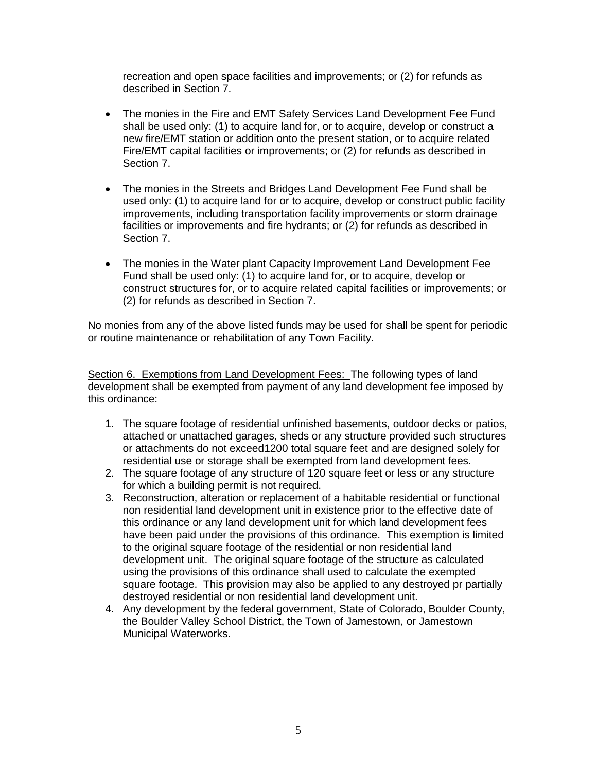recreation and open space facilities and improvements; or (2) for refunds as described in Section 7.

- The monies in the Fire and EMT Safety Services Land Development Fee Fund shall be used only: (1) to acquire land for, or to acquire, develop or construct a new fire/EMT station or addition onto the present station, or to acquire related Fire/EMT capital facilities or improvements; or (2) for refunds as described in Section 7.
- The monies in the Streets and Bridges Land Development Fee Fund shall be used only: (1) to acquire land for or to acquire, develop or construct public facility improvements, including transportation facility improvements or storm drainage facilities or improvements and fire hydrants; or (2) for refunds as described in Section 7.
- The monies in the Water plant Capacity Improvement Land Development Fee Fund shall be used only: (1) to acquire land for, or to acquire, develop or construct structures for, or to acquire related capital facilities or improvements; or (2) for refunds as described in Section 7.

No monies from any of the above listed funds may be used for shall be spent for periodic or routine maintenance or rehabilitation of any Town Facility.

Section 6. Exemptions from Land Development Fees: The following types of land development shall be exempted from payment of any land development fee imposed by this ordinance:

- 1. The square footage of residential unfinished basements, outdoor decks or patios, attached or unattached garages, sheds or any structure provided such structures or attachments do not exceed1200 total square feet and are designed solely for residential use or storage shall be exempted from land development fees.
- 2. The square footage of any structure of 120 square feet or less or any structure for which a building permit is not required.
- 3. Reconstruction, alteration or replacement of a habitable residential or functional non residential land development unit in existence prior to the effective date of this ordinance or any land development unit for which land development fees have been paid under the provisions of this ordinance. This exemption is limited to the original square footage of the residential or non residential land development unit. The original square footage of the structure as calculated using the provisions of this ordinance shall used to calculate the exempted square footage. This provision may also be applied to any destroyed pr partially destroyed residential or non residential land development unit.
- 4. Any development by the federal government, State of Colorado, Boulder County, the Boulder Valley School District, the Town of Jamestown, or Jamestown Municipal Waterworks.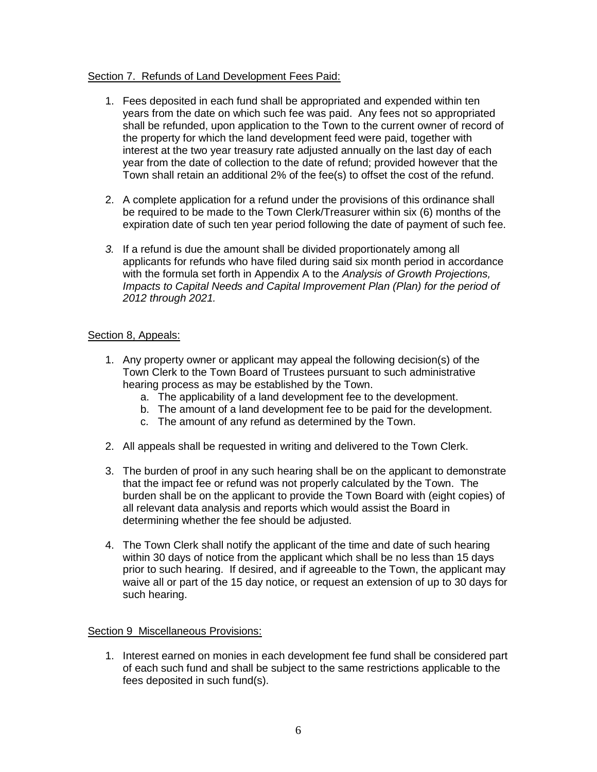## Section 7. Refunds of Land Development Fees Paid:

- 1. Fees deposited in each fund shall be appropriated and expended within ten years from the date on which such fee was paid. Any fees not so appropriated shall be refunded, upon application to the Town to the current owner of record of the property for which the land development feed were paid, together with interest at the two year treasury rate adjusted annually on the last day of each year from the date of collection to the date of refund; provided however that the Town shall retain an additional 2% of the fee(s) to offset the cost of the refund.
- 2. A complete application for a refund under the provisions of this ordinance shall be required to be made to the Town Clerk/Treasurer within six (6) months of the expiration date of such ten year period following the date of payment of such fee.
- *3.* If a refund is due the amount shall be divided proportionately among all applicants for refunds who have filed during said six month period in accordance with the formula set forth in Appendix A to the *Analysis of Growth Projections, Impacts to Capital Needs and Capital Improvement Plan (Plan) for the period of 2012 through 2021.*

### Section 8, Appeals:

- 1. Any property owner or applicant may appeal the following decision(s) of the Town Clerk to the Town Board of Trustees pursuant to such administrative hearing process as may be established by the Town.
	- a. The applicability of a land development fee to the development.
	- b. The amount of a land development fee to be paid for the development.
	- c. The amount of any refund as determined by the Town.
- 2. All appeals shall be requested in writing and delivered to the Town Clerk.
- 3. The burden of proof in any such hearing shall be on the applicant to demonstrate that the impact fee or refund was not properly calculated by the Town. The burden shall be on the applicant to provide the Town Board with (eight copies) of all relevant data analysis and reports which would assist the Board in determining whether the fee should be adjusted.
- 4. The Town Clerk shall notify the applicant of the time and date of such hearing within 30 days of notice from the applicant which shall be no less than 15 days prior to such hearing. If desired, and if agreeable to the Town, the applicant may waive all or part of the 15 day notice, or request an extension of up to 30 days for such hearing.

### Section 9 Miscellaneous Provisions:

1. Interest earned on monies in each development fee fund shall be considered part of each such fund and shall be subject to the same restrictions applicable to the fees deposited in such fund(s).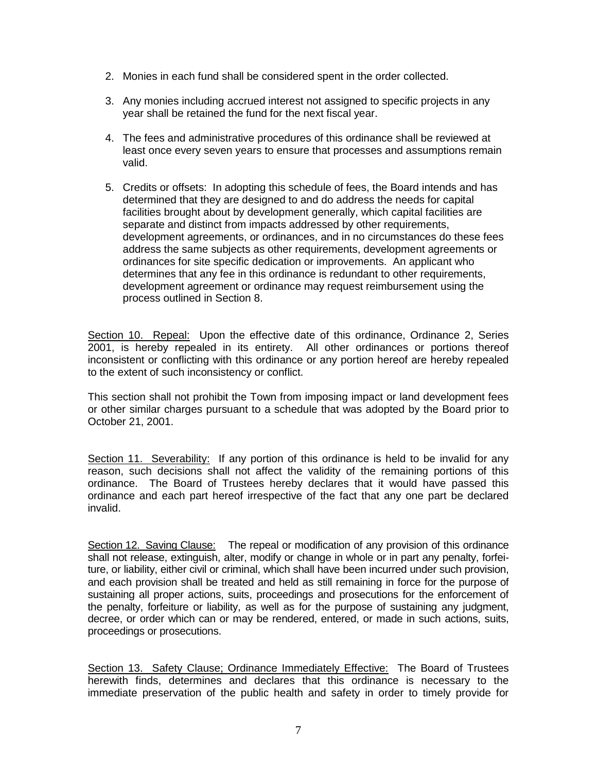- 2. Monies in each fund shall be considered spent in the order collected.
- 3. Any monies including accrued interest not assigned to specific projects in any year shall be retained the fund for the next fiscal year.
- 4. The fees and administrative procedures of this ordinance shall be reviewed at least once every seven years to ensure that processes and assumptions remain valid.
- 5. Credits or offsets: In adopting this schedule of fees, the Board intends and has determined that they are designed to and do address the needs for capital facilities brought about by development generally, which capital facilities are separate and distinct from impacts addressed by other requirements, development agreements, or ordinances, and in no circumstances do these fees address the same subjects as other requirements, development agreements or ordinances for site specific dedication or improvements. An applicant who determines that any fee in this ordinance is redundant to other requirements, development agreement or ordinance may request reimbursement using the process outlined in Section 8.

Section 10. Repeal: Upon the effective date of this ordinance, Ordinance 2, Series 2001, is hereby repealed in its entirety. All other ordinances or portions thereof inconsistent or conflicting with this ordinance or any portion hereof are hereby repealed to the extent of such inconsistency or conflict.

This section shall not prohibit the Town from imposing impact or land development fees or other similar charges pursuant to a schedule that was adopted by the Board prior to October 21, 2001.

Section 11. Severability: If any portion of this ordinance is held to be invalid for any reason, such decisions shall not affect the validity of the remaining portions of this ordinance. The Board of Trustees hereby declares that it would have passed this ordinance and each part hereof irrespective of the fact that any one part be declared invalid.

Section 12. Saving Clause: The repeal or modification of any provision of this ordinance shall not release, extinguish, alter, modify or change in whole or in part any penalty, forfeiture, or liability, either civil or criminal, which shall have been incurred under such provision, and each provision shall be treated and held as still remaining in force for the purpose of sustaining all proper actions, suits, proceedings and prosecutions for the enforcement of the penalty, forfeiture or liability, as well as for the purpose of sustaining any judgment, decree, or order which can or may be rendered, entered, or made in such actions, suits, proceedings or prosecutions.

Section 13. Safety Clause; Ordinance Immediately Effective: The Board of Trustees herewith finds, determines and declares that this ordinance is necessary to the immediate preservation of the public health and safety in order to timely provide for